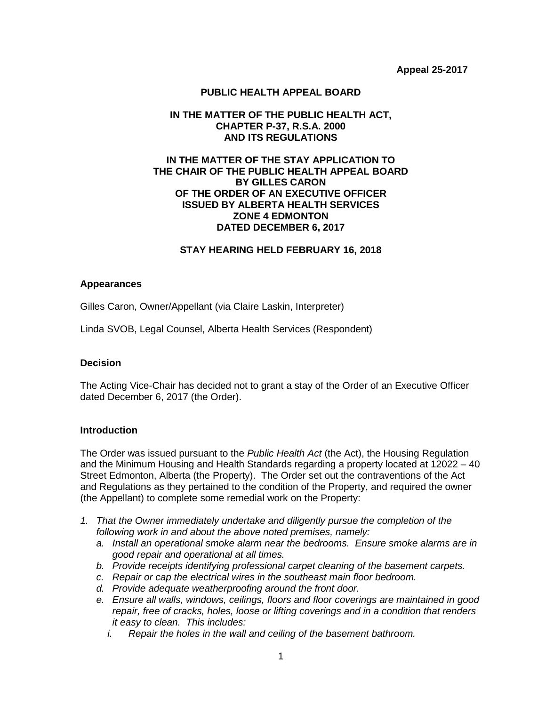# **PUBLIC HEALTH APPEAL BOARD**

### **IN THE MATTER OF THE PUBLIC HEALTH ACT, CHAPTER P-37, R.S.A. 2000 AND ITS REGULATIONS**

## **IN THE MATTER OF THE STAY APPLICATION TO THE CHAIR OF THE PUBLIC HEALTH APPEAL BOARD BY GILLES CARON OF THE ORDER OF AN EXECUTIVE OFFICER ISSUED BY ALBERTA HEALTH SERVICES ZONE 4 EDMONTON DATED DECEMBER 6, 2017**

### **STAY HEARING HELD FEBRUARY 16, 2018**

### **Appearances**

Gilles Caron, Owner/Appellant (via Claire Laskin, Interpreter)

Linda SVOB, Legal Counsel, Alberta Health Services (Respondent)

### **Decision**

The Acting Vice-Chair has decided not to grant a stay of the Order of an Executive Officer dated December 6, 2017 (the Order).

### **Introduction**

The Order was issued pursuant to the *Public Health Act* (the Act), the Housing Regulation and the Minimum Housing and Health Standards regarding a property located at 12022 – 40 Street Edmonton, Alberta (the Property). The Order set out the contraventions of the Act and Regulations as they pertained to the condition of the Property, and required the owner (the Appellant) to complete some remedial work on the Property:

- *1. That the Owner immediately undertake and diligently pursue the completion of the following work in and about the above noted premises, namely:*
	- *a. Install an operational smoke alarm near the bedrooms. Ensure smoke alarms are in good repair and operational at all times.*
	- *b. Provide receipts identifying professional carpet cleaning of the basement carpets.*
	- *c. Repair or cap the electrical wires in the southeast main floor bedroom.*
	- *d. Provide adequate weatherproofing around the front door.*
	- *e. Ensure all walls, windows, ceilings, floors and floor coverings are maintained in good repair, free of cracks, holes, loose or lifting coverings and in a condition that renders it easy to clean. This includes:*
		- *i. Repair the holes in the wall and ceiling of the basement bathroom.*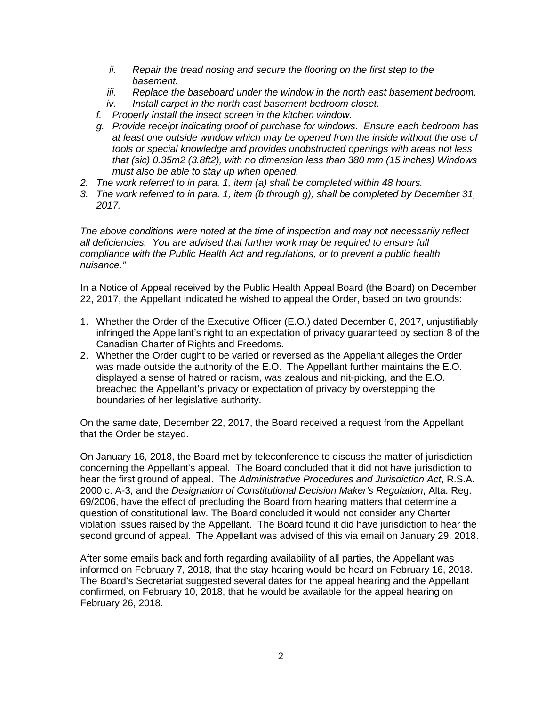- *ii. Repair the tread nosing and secure the flooring on the first step to the basement.*
- *iii. Replace the baseboard under the window in the north east basement bedroom.*
- *iv. Install carpet in the north east basement bedroom closet.*
- *f. Properly install the insect screen in the kitchen window.*
- *g. Provide receipt indicating proof of purchase for windows. Ensure each bedroom has at least one outside window which may be opened from the inside without the use of tools or special knowledge and provides unobstructed openings with areas not less that (sic) 0.35m2 (3.8ft2), with no dimension less than 380 mm (15 inches) Windows must also be able to stay up when opened.*
- *2. The work referred to in para. 1, item (a) shall be completed within 48 hours.*
- *3. The work referred to in para. 1, item (b through g), shall be completed by December 31, 2017.*

*The above conditions were noted at the time of inspection and may not necessarily reflect all deficiencies. You are advised that further work may be required to ensure full compliance with the Public Health Act and regulations, or to prevent a public health nuisance."*

In a Notice of Appeal received by the Public Health Appeal Board (the Board) on December 22, 2017, the Appellant indicated he wished to appeal the Order, based on two grounds:

- 1. Whether the Order of the Executive Officer (E.O.) dated December 6, 2017, unjustifiably infringed the Appellant's right to an expectation of privacy guaranteed by section 8 of the Canadian Charter of Rights and Freedoms.
- 2. Whether the Order ought to be varied or reversed as the Appellant alleges the Order was made outside the authority of the E.O. The Appellant further maintains the E.O. displayed a sense of hatred or racism, was zealous and nit-picking, and the E.O. breached the Appellant's privacy or expectation of privacy by overstepping the boundaries of her legislative authority.

On the same date, December 22, 2017, the Board received a request from the Appellant that the Order be stayed.

On January 16, 2018, the Board met by teleconference to discuss the matter of jurisdiction concerning the Appellant's appeal. The Board concluded that it did not have jurisdiction to hear the first ground of appeal. The *Administrative Procedures and Jurisdiction Act*, R.S.A. 2000 c. A-3, and the *Designation of Constitutional Decision Maker's Regulation*, Alta. Reg. 69/2006, have the effect of precluding the Board from hearing matters that determine a question of constitutional law. The Board concluded it would not consider any Charter violation issues raised by the Appellant. The Board found it did have jurisdiction to hear the second ground of appeal. The Appellant was advised of this via email on January 29, 2018.

After some emails back and forth regarding availability of all parties, the Appellant was informed on February 7, 2018, that the stay hearing would be heard on February 16, 2018. The Board's Secretariat suggested several dates for the appeal hearing and the Appellant confirmed, on February 10, 2018, that he would be available for the appeal hearing on February 26, 2018.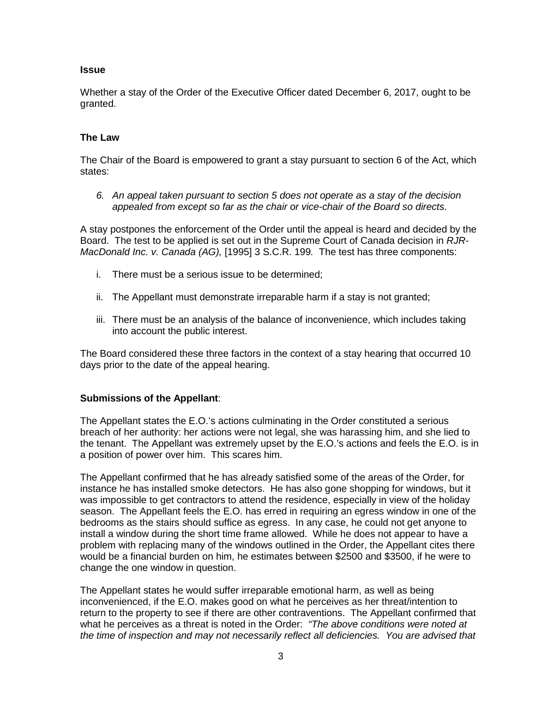## **Issue**

Whether a stay of the Order of the Executive Officer dated December 6, 2017, ought to be granted.

## **The Law**

The Chair of the Board is empowered to grant a stay pursuant to section 6 of the Act, which states:

*6. An appeal taken pursuant to section 5 does not operate as a stay of the decision appealed from except so far as the chair or vice-chair of the Board so directs.* 

A stay postpones the enforcement of the Order until the appeal is heard and decided by the Board. The test to be applied is set out in the Supreme Court of Canada decision in *RJR-MacDonald Inc. v. Canada (AG),* [1995] 3 S.C.R. 199*.* The test has three components:

- i. There must be a serious issue to be determined;
- ii. The Appellant must demonstrate irreparable harm if a stay is not granted;
- iii. There must be an analysis of the balance of inconvenience, which includes taking into account the public interest.

The Board considered these three factors in the context of a stay hearing that occurred 10 days prior to the date of the appeal hearing.

### **Submissions of the Appellant**:

The Appellant states the E.O.'s actions culminating in the Order constituted a serious breach of her authority: her actions were not legal, she was harassing him, and she lied to the tenant. The Appellant was extremely upset by the E.O.'s actions and feels the E.O. is in a position of power over him. This scares him.

The Appellant confirmed that he has already satisfied some of the areas of the Order, for instance he has installed smoke detectors. He has also gone shopping for windows, but it was impossible to get contractors to attend the residence, especially in view of the holiday season. The Appellant feels the E.O. has erred in requiring an egress window in one of the bedrooms as the stairs should suffice as egress. In any case, he could not get anyone to install a window during the short time frame allowed. While he does not appear to have a problem with replacing many of the windows outlined in the Order, the Appellant cites there would be a financial burden on him, he estimates between \$2500 and \$3500, if he were to change the one window in question.

The Appellant states he would suffer irreparable emotional harm, as well as being inconvenienced, if the E.O. makes good on what he perceives as her threat/intention to return to the property to see if there are other contraventions. The Appellant confirmed that what he perceives as a threat is noted in the Order: *"The above conditions were noted at the time of inspection and may not necessarily reflect all deficiencies. You are advised that*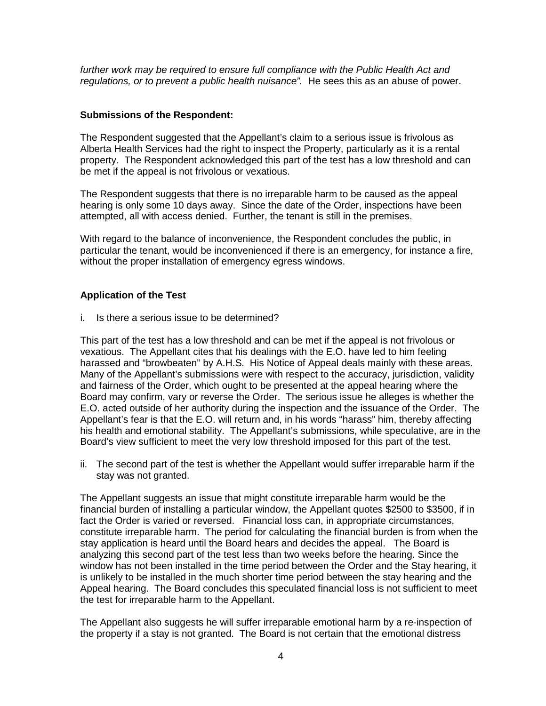further work may be required to ensure full compliance with the Public Health Act and *regulations, or to prevent a public health nuisance".* He sees this as an abuse of power.

#### **Submissions of the Respondent:**

The Respondent suggested that the Appellant's claim to a serious issue is frivolous as Alberta Health Services had the right to inspect the Property, particularly as it is a rental property. The Respondent acknowledged this part of the test has a low threshold and can be met if the appeal is not frivolous or vexatious.

The Respondent suggests that there is no irreparable harm to be caused as the appeal hearing is only some 10 days away. Since the date of the Order, inspections have been attempted, all with access denied. Further, the tenant is still in the premises.

With regard to the balance of inconvenience, the Respondent concludes the public, in particular the tenant, would be inconvenienced if there is an emergency, for instance a fire, without the proper installation of emergency egress windows.

#### **Application of the Test**

i. Is there a serious issue to be determined?

This part of the test has a low threshold and can be met if the appeal is not frivolous or vexatious. The Appellant cites that his dealings with the E.O. have led to him feeling harassed and "browbeaten" by A.H.S. His Notice of Appeal deals mainly with these areas. Many of the Appellant's submissions were with respect to the accuracy, jurisdiction, validity and fairness of the Order, which ought to be presented at the appeal hearing where the Board may confirm, vary or reverse the Order. The serious issue he alleges is whether the E.O. acted outside of her authority during the inspection and the issuance of the Order. The Appellant's fear is that the E.O. will return and, in his words "harass" him, thereby affecting his health and emotional stability. The Appellant's submissions, while speculative, are in the Board's view sufficient to meet the very low threshold imposed for this part of the test.

ii. The second part of the test is whether the Appellant would suffer irreparable harm if the stay was not granted.

The Appellant suggests an issue that might constitute irreparable harm would be the financial burden of installing a particular window, the Appellant quotes \$2500 to \$3500, if in fact the Order is varied or reversed. Financial loss can, in appropriate circumstances, constitute irreparable harm. The period for calculating the financial burden is from when the stay application is heard until the Board hears and decides the appeal. The Board is analyzing this second part of the test less than two weeks before the hearing. Since the window has not been installed in the time period between the Order and the Stay hearing, it is unlikely to be installed in the much shorter time period between the stay hearing and the Appeal hearing. The Board concludes this speculated financial loss is not sufficient to meet the test for irreparable harm to the Appellant.

The Appellant also suggests he will suffer irreparable emotional harm by a re-inspection of the property if a stay is not granted. The Board is not certain that the emotional distress